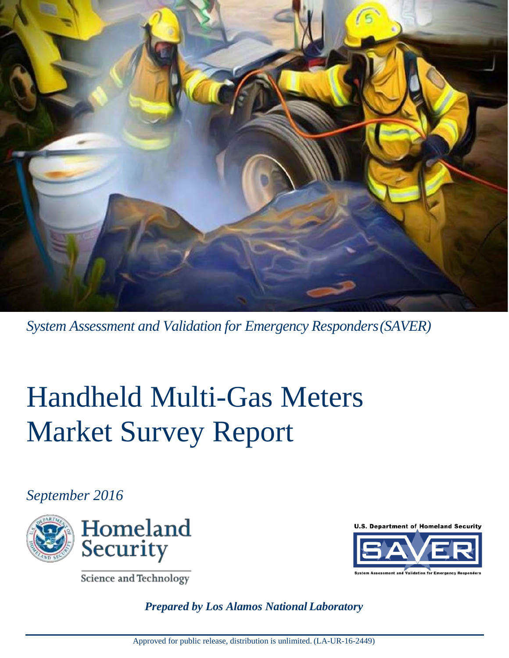

*System Assessment and Validation for Emergency Responders(SAVER)*

# Handheld Multi-Gas Meters Market Survey Report

# *September 2016*



Science and Technology

U.S. Department of Homeland Security



*Prepared by Los Alamos National Laboratory*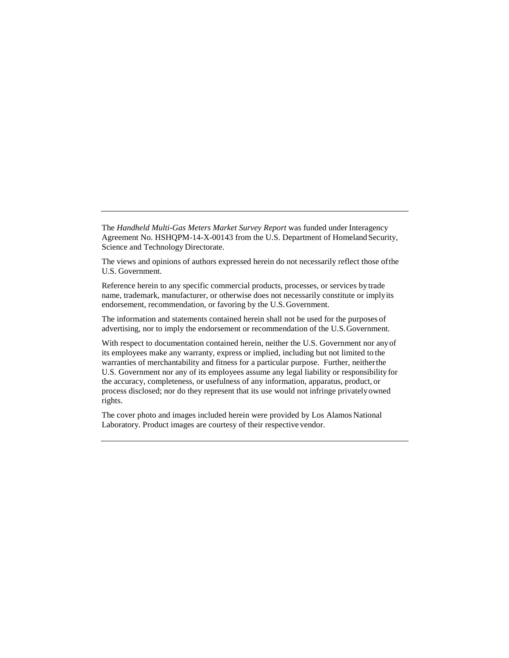The *Handheld Multi-Gas Meters Market Survey Report* was funded under Interagency Agreement No. HSHQPM-14-X-00143 from the U.S. Department of Homeland Security, Science and Technology Directorate.

The views and opinions of authors expressed herein do not necessarily reflect those ofthe U.S. Government.

Reference herein to any specific commercial products, processes, or services by trade name, trademark, manufacturer, or otherwise does not necessarily constitute or imply its endorsement, recommendation, or favoring by the U.S.Government.

The information and statements contained herein shall not be used for the purposes of advertising, nor to imply the endorsement or recommendation of the U.S.Government.

With respect to documentation contained herein, neither the U.S. Government nor anyof its employees make any warranty, express or implied, including but not limited to the warranties of merchantability and fitness for a particular purpose. Further, neither the U.S. Government nor any of its employees assume any legal liability or responsibility for the accuracy, completeness, or usefulness of any information, apparatus, product, or process disclosed; nor do they represent that its use would not infringe privatelyowned rights.

The cover photo and images included herein were provided by Los Alamos National Laboratory. Product images are courtesy of their respective vendor.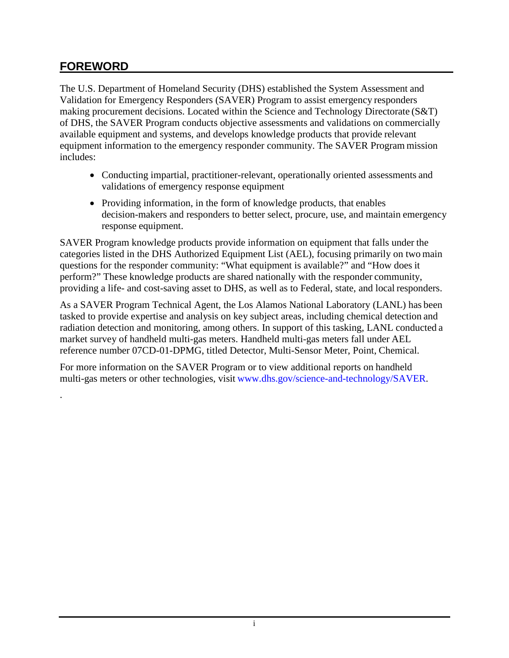# **FOREWORD**

.

<span id="page-2-0"></span>The U.S. Department of Homeland Security (DHS) established the System Assessment and Validation for Emergency Responders (SAVER) Program to assist emergency responders making procurement decisions. Located within the Science and Technology Directorate (S&T) of DHS, the SAVER Program conducts objective assessments and validations on commercially available equipment and systems, and develops knowledge products that provide relevant equipment information to the emergency responder community. The SAVER Program mission includes:

- Conducting impartial, practitioner-relevant, operationally oriented assessments and validations of emergency response equipment
- Providing information, in the form of knowledge products, that enables decision-makers and responders to better select, procure, use, and maintain emergency response equipment.

SAVER Program knowledge products provide information on equipment that falls under the categories listed in the DHS Authorized Equipment List (AEL), focusing primarily on two main questions for the responder community: "What equipment is available?" and "How does it perform?" These knowledge products are shared nationally with the responder community, providing a life- and cost-saving asset to DHS, as well as to Federal, state, and local responders.

As a SAVER Program Technical Agent, the Los Alamos National Laboratory (LANL) has been tasked to provide expertise and analysis on key subject areas, including chemical detection and radiation detection and monitoring, among others. In support of this tasking, LANL conducted a market survey of handheld multi-gas meters. Handheld multi-gas meters fall under AEL reference number 07CD-01-DPMG, titled Detector, Multi-Sensor Meter, Point, Chemical.

For more information on the SAVER Program or to view additional reports on handheld multi-gas meters or other technologies, visi[t www.dhs.gov/science-and-technology/SAVER.](https://www.dhs.gov/science-and-technology/SAVER)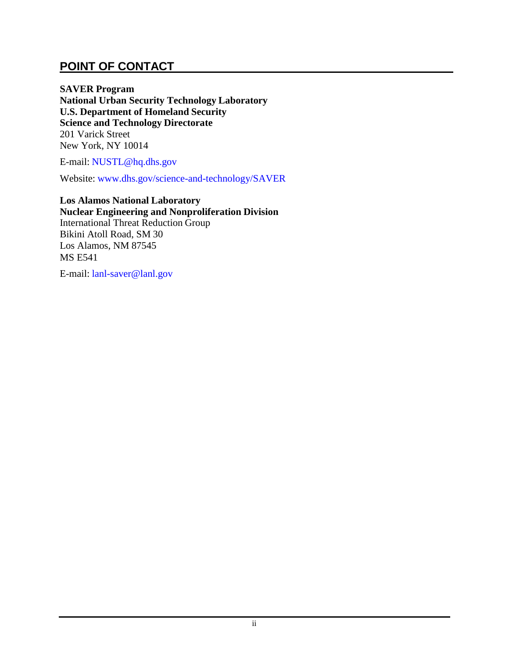#### **POINT OF CONTACT**

<span id="page-3-0"></span>**SAVER Program National Urban Security Technology Laboratory U.S. Department of Homeland Security Science and Technology Directorate**  201 Varick Street New York, NY 10014

E-mail: [NUSTL@hq.dhs.gov](mailto:nustl@hq.dhs.gov)

Website: [www.dhs.gov/science-and-technology/SAVER](https://www.dhs.gov/science-and-technology/saver)

**Los Alamos National Laboratory Nuclear Engineering and Nonproliferation Division** International Threat Reduction Group Bikini Atoll Road, SM 30 Los Alamos, NM 87545 MS E541

E-mail: [lanl-saver@lanl.gov](mailto:lanl_saver@lanl.gov)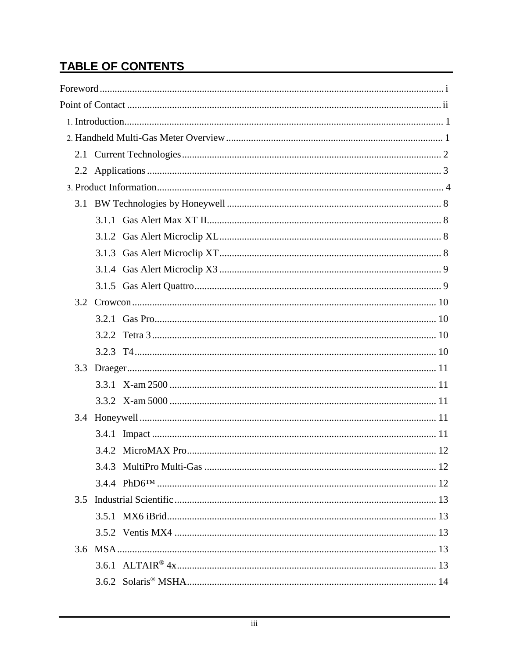# TABLE OF CONTENTS

|               | 3.4.2 MicroMAX Pro | 12 |
|---------------|--------------------|----|
|               |                    |    |
|               |                    |    |
| $3.5^{\circ}$ |                    |    |
|               |                    |    |
|               |                    |    |
|               |                    |    |
|               |                    |    |
|               |                    |    |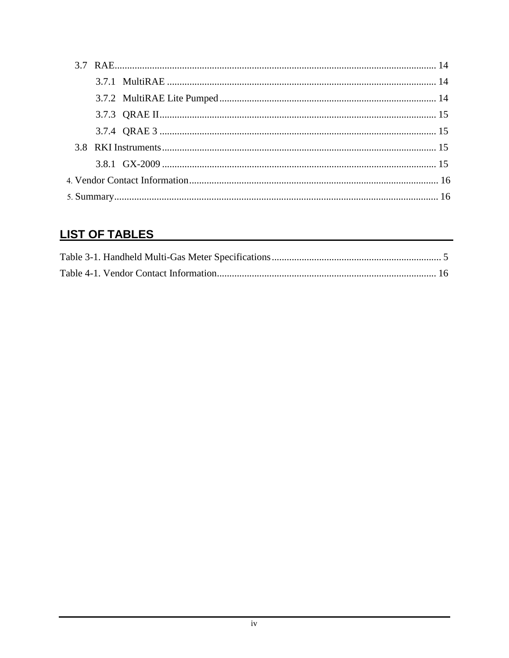# **LIST OF TABLES**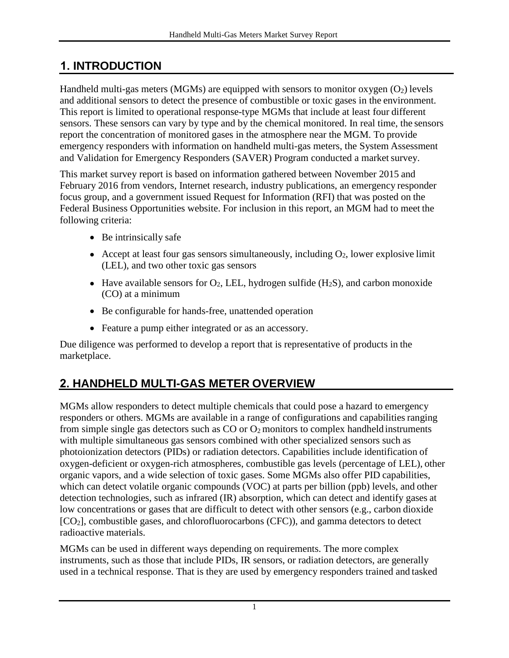# <span id="page-6-0"></span>**1. INTRODUCTION**

Handheld multi-gas meters (MGMs) are equipped with sensors to monitor oxygen  $(O_2)$  levels and additional sensors to detect the presence of combustible or toxic gases in the environment. This report is limited to operational response-type MGMs that include at least four different sensors. These sensors can vary by type and by the chemical monitored. In real time, the sensors report the concentration of monitored gases in the atmosphere near the MGM. To provide emergency responders with information on handheld multi-gas meters, the System Assessment and Validation for Emergency Responders (SAVER) Program conducted a market survey.

This market survey report is based on information gathered between November 2015 and February 2016 from vendors, Internet research, industry publications, an emergency responder focus group, and a government issued Request for Information (RFI) that was posted on the Federal Business Opportunities website. For inclusion in this report, an MGM had to meet the following criteria:

- Be intrinsically safe
- Accept at least four gas sensors simultaneously, including  $O_2$ , lower explosive limit (LEL), and two other toxic gas sensors
- Have available sensors for  $O_2$ , LEL, hydrogen sulfide (H<sub>2</sub>S), and carbon monoxide (CO) at a minimum
- Be configurable for hands-free, unattended operation
- Feature a pump either integrated or as an accessory.

Due diligence was performed to develop a report that is representative of products in the marketplace.

# <span id="page-6-1"></span>**2. HANDHELD MULTI-GAS METER OVERVIEW**

MGMs allow responders to detect multiple chemicals that could pose a hazard to emergency responders or others. MGMs are available in a range of configurations and capabilities ranging from simple single gas detectors such as  $CO$  or  $O_2$  monitors to complex handheld instruments with multiple simultaneous gas sensors combined with other specialized sensors such as photoionization detectors (PIDs) or radiation detectors. Capabilities include identification of oxygen-deficient or oxygen-rich atmospheres, combustible gas levels (percentage of LEL), other organic vapors, and a wide selection of toxic gases. Some MGMs also offer PID capabilities, which can detect volatile organic compounds (VOC) at parts per billion (ppb) levels, and other detection technologies, such as infrared (IR) absorption, which can detect and identify gases at low concentrations or gases that are difficult to detect with other sensors (e.g., carbon dioxide [CO2], combustible gases, and chlorofluorocarbons (CFC)), and gamma detectors to detect radioactive materials.

MGMs can be used in different ways depending on requirements. The more complex instruments, such as those that include PIDs, IR sensors, or radiation detectors, are generally used in a technical response. That is they are used by emergency responders trained and tasked

1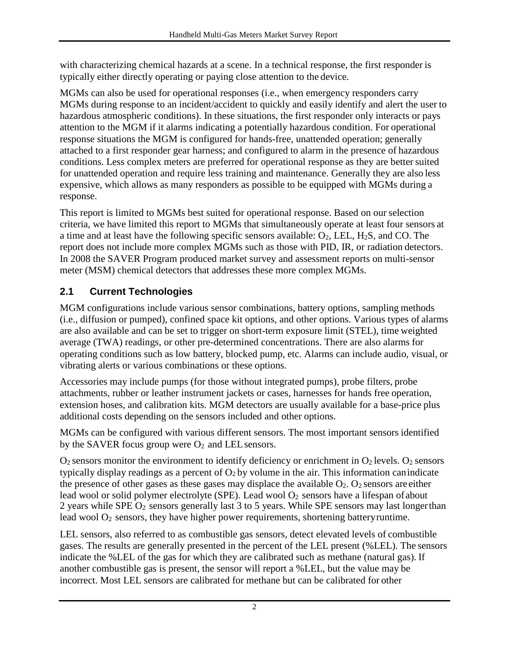with characterizing chemical hazards at a scene. In a technical response, the first responder is typically either directly operating or paying close attention to the device.

MGMs can also be used for operational responses (i.e., when emergency responders carry MGMs during response to an incident/accident to quickly and easily identify and alert the user to hazardous atmospheric conditions). In these situations, the first responder only interacts or pays attention to the MGM if it alarms indicating a potentially hazardous condition. For operational response situations the MGM is configured for hands-free, unattended operation; generally attached to a first responder gear harness; and configured to alarm in the presence of hazardous conditions. Less complex meters are preferred for operational response as they are better suited for unattended operation and require less training and maintenance. Generally they are also less expensive, which allows as many responders as possible to be equipped with MGMs during a response.

This report is limited to MGMs best suited for operational response. Based on our selection criteria, we have limited this report to MGMs that simultaneously operate at least four sensors at a time and at least have the following specific sensors available:  $O_2$ , LEL,  $H_2S$ , and CO. The report does not include more complex MGMs such as those with PID, IR, or radiation detectors. In 2008 the SAVER Program produced market survey and assessment reports on multi-sensor meter (MSM) chemical detectors that addresses these more complex MGMs.

# <span id="page-7-0"></span>**2.1 Current Technologies**

MGM configurations include various sensor combinations, battery options, sampling methods (i.e., diffusion or pumped), confined space kit options, and other options. Various types of alarms are also available and can be set to trigger on short-term exposure limit (STEL), time weighted average (TWA) readings, or other pre-determined concentrations. There are also alarms for operating conditions such as low battery, blocked pump, etc. Alarms can include audio, visual, or vibrating alerts or various combinations or these options.

Accessories may include pumps (for those without integrated pumps), probe filters, probe attachments, rubber or leather instrument jackets or cases, harnesses for hands free operation, extension hoses, and calibration kits. MGM detectors are usually available for a base-price plus additional costs depending on the sensors included and other options.

MGMs can be configured with various different sensors. The most important sensors identified by the SAVER focus group were  $O_2$  and LEL sensors.

 $O_2$  sensors monitor the environment to identify deficiency or enrichment in  $O_2$  levels.  $O_2$  sensors typically display readings as a percent of  $O_2$  by volume in the air. This information can indicate the presence of other gases as these gases may displace the available  $O_2$ .  $O_2$  sensors are either lead wool or solid polymer electrolyte (SPE). Lead wool  $O_2$  sensors have a lifespan of about 2 years while SPE O2 sensors generally last 3 to 5 years. While SPE sensors may last longer than lead wool  $O_2$  sensors, they have higher power requirements, shortening battery runtime.

LEL sensors, also referred to as combustible gas sensors, detect elevated levels of combustible gases. The results are generally presented in the percent of the LEL present (%LEL). The sensors indicate the %LEL of the gas for which they are calibrated such as methane (natural gas). If another combustible gas is present, the sensor will report a %LEL, but the value may be incorrect. Most LEL sensors are calibrated for methane but can be calibrated for other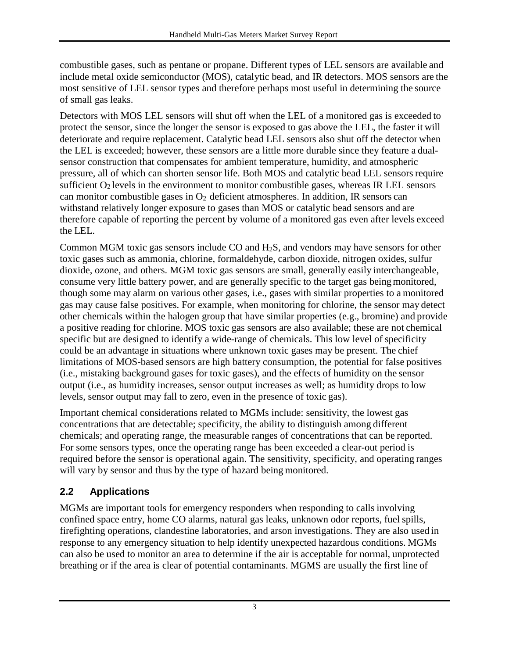combustible gases, such as pentane or propane. Different types of LEL sensors are available and include metal oxide semiconductor (MOS), catalytic bead, and IR detectors. MOS sensors are the most sensitive of LEL sensor types and therefore perhaps most useful in determining the source of small gas leaks.

Detectors with MOS LEL sensors will shut off when the LEL of a monitored gas is exceeded to protect the sensor, since the longer the sensor is exposed to gas above the LEL, the faster it will deteriorate and require replacement. Catalytic bead LEL sensors also shut off the detector when the LEL is exceeded; however, these sensors are a little more durable since they feature a dualsensor construction that compensates for ambient temperature, humidity, and atmospheric pressure, all of which can shorten sensor life. Both MOS and catalytic bead LEL sensors require sufficient  $O_2$  levels in the environment to monitor combustible gases, whereas IR LEL sensors can monitor combustible gases in  $O_2$  deficient atmospheres. In addition, IR sensors can withstand relatively longer exposure to gases than MOS or catalytic bead sensors and are therefore capable of reporting the percent by volume of a monitored gas even after levels exceed the LEL.

Common MGM toxic gas sensors include CO and H2S, and vendors may have sensors for other toxic gases such as ammonia, chlorine, formaldehyde, carbon dioxide, nitrogen oxides, sulfur dioxide, ozone, and others. MGM toxic gas sensors are small, generally easily interchangeable, consume very little battery power, and are generally specific to the target gas being monitored, though some may alarm on various other gases, i.e., gases with similar properties to a monitored gas may cause false positives. For example, when monitoring for chlorine, the sensor may detect other chemicals within the halogen group that have similar properties (e.g., bromine) and provide a positive reading for chlorine. MOS toxic gas sensors are also available; these are not chemical specific but are designed to identify a wide-range of chemicals. This low level of specificity could be an advantage in situations where unknown toxic gases may be present. The chief limitations of MOS-based sensors are high battery consumption, the potential for false positives (i.e., mistaking background gases for toxic gases), and the effects of humidity on the sensor output (i.e., as humidity increases, sensor output increases as well; as humidity drops to low levels, sensor output may fall to zero, even in the presence of toxic gas).

Important chemical considerations related to MGMs include: sensitivity, the lowest gas concentrations that are detectable; specificity, the ability to distinguish among different chemicals; and operating range, the measurable ranges of concentrations that can be reported. For some sensors types, once the operating range has been exceeded a clear-out period is required before the sensor is operational again. The sensitivity, specificity, and operating ranges will vary by sensor and thus by the type of hazard being monitored.

#### <span id="page-8-0"></span>**2.2 Applications**

MGMs are important tools for emergency responders when responding to calls involving confined space entry, home CO alarms, natural gas leaks, unknown odor reports, fuel spills, firefighting operations, clandestine laboratories, and arson investigations. They are also used in response to any emergency situation to help identify unexpected hazardous conditions. MGMs can also be used to monitor an area to determine if the air is acceptable for normal, unprotected breathing or if the area is clear of potential contaminants. MGMS are usually the first line of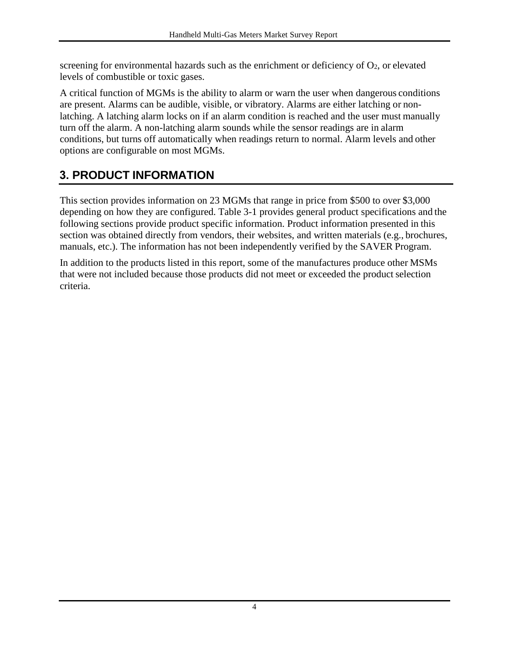screening for environmental hazards such as the enrichment or deficiency of  $O<sub>2</sub>$ , or elevated levels of combustible or toxic gases.

A critical function of MGMs is the ability to alarm or warn the user when dangerous conditions are present. Alarms can be audible, visible, or vibratory. Alarms are either latching or nonlatching. A latching alarm locks on if an alarm condition is reached and the user must manually turn off the alarm. A non-latching alarm sounds while the sensor readings are in alarm conditions, but turns off automatically when readings return to normal. Alarm levels and other options are configurable on most MGMs.

# <span id="page-9-0"></span>**3. PRODUCT INFORMATION**

This section provides information on 23 MGMs that range in price from \$500 to over \$3,000 depending on how they are configured. Table 3-1 provides general product specifications and the following sections provide product specific information. Product information presented in this section was obtained directly from vendors, their websites, and written materials (e.g., brochures, manuals, etc.). The information has not been independently verified by the SAVER Program.

In addition to the products listed in this report, some of the manufactures produce other MSMs that were not included because those products did not meet or exceeded the product selection criteria.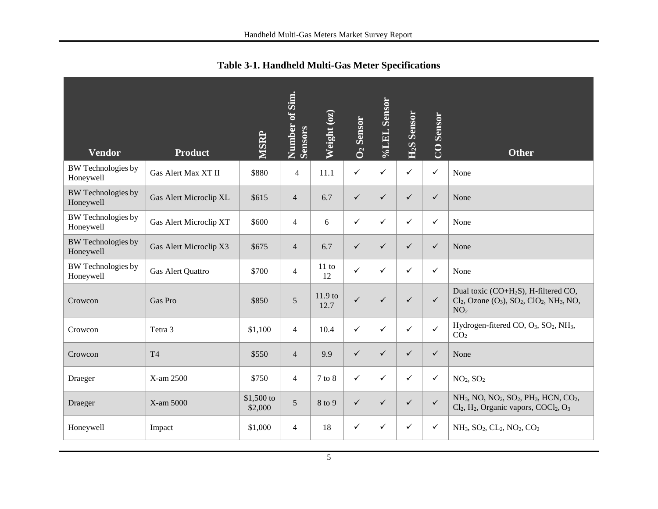<span id="page-10-0"></span>

| <b>Vendor</b>                          | <b>Product</b>         | <b>MSRP</b>            | Number of Sim.<br>Sensors | Weight (oz)       | $\overline{O_2}$ Sensor | %LEL Sensor  | <b>Sensor</b><br>H <sub>2</sub> S | <b>CO</b> Sensor | <b>Other</b>                                                                                                                                                                                |
|----------------------------------------|------------------------|------------------------|---------------------------|-------------------|-------------------------|--------------|-----------------------------------|------------------|---------------------------------------------------------------------------------------------------------------------------------------------------------------------------------------------|
| <b>BW</b> Technologies by<br>Honeywell | Gas Alert Max XT II    | \$880                  | $\overline{4}$            | 11.1              | $\checkmark$            | ✓            | $\checkmark$                      | $\checkmark$     | None                                                                                                                                                                                        |
| <b>BW</b> Technologies by<br>Honeywell | Gas Alert Microclip XL | \$615                  | $\overline{4}$            | 6.7               | $\checkmark$            | $\checkmark$ | ✓                                 | $\checkmark$     | None                                                                                                                                                                                        |
| <b>BW</b> Technologies by<br>Honeywell | Gas Alert Microclip XT | \$600                  | $\overline{4}$            | 6                 | $\checkmark$            | ✓            | ✓                                 | $\checkmark$     | None                                                                                                                                                                                        |
| <b>BW</b> Technologies by<br>Honeywell | Gas Alert Microclip X3 | \$675                  | $\overline{4}$            | 6.7               | $\checkmark$            | $\checkmark$ | $\checkmark$                      | $\checkmark$     | None                                                                                                                                                                                        |
| <b>BW</b> Technologies by<br>Honeywell | Gas Alert Quattro      | \$700                  | $\overline{4}$            | 11 to<br>12       | $\checkmark$            | $\checkmark$ | ✓                                 | $\checkmark$     | None                                                                                                                                                                                        |
| Crowcon                                | Gas Pro                | \$850                  | 5                         | $11.9$ to<br>12.7 | $\checkmark$            | $\checkmark$ | $\checkmark$                      | $\checkmark$     | Dual toxic (CO+H <sub>2</sub> S), H-filtered CO,<br>$Cl_2$ , Ozone $(O_3)$ , SO <sub>2</sub> , ClO <sub>2</sub> , NH <sub>3</sub> , NO,<br>NO <sub>2</sub>                                  |
| Crowcon                                | Tetra 3                | \$1,100                | $\overline{4}$            | 10.4              | $\checkmark$            | ✓            | ✓                                 | $\checkmark$     | Hydrogen-fitered CO, $O_3$ , $SO_2$ , NH <sub>3</sub> ,<br>CO <sub>2</sub>                                                                                                                  |
| Crowcon                                | <b>T4</b>              | \$550                  | $\overline{4}$            | 9.9               | $\checkmark$            | $\checkmark$ | $\checkmark$                      | $\checkmark$     | None                                                                                                                                                                                        |
| Draeger                                | X-am 2500              | \$750                  | $\overline{4}$            | 7 to 8            | $\checkmark$            | ✓            | ✓                                 | $\checkmark$     | NO <sub>2</sub> , SO <sub>2</sub>                                                                                                                                                           |
| Draeger                                | X-am 5000              | $$1,500$ to<br>\$2,000 | 5                         | 8 to 9            | $\checkmark$            | $\checkmark$ | $\checkmark$                      | $\checkmark$     | NH <sub>3</sub> , NO, NO <sub>2</sub> , SO <sub>2</sub> , PH <sub>3</sub> , HCN, CO <sub>2</sub> ,<br>Cl <sub>2</sub> , H <sub>2</sub> , Organic vapors, COCl <sub>2</sub> , O <sub>3</sub> |
| Honeywell                              | Impact                 | \$1,000                | $\overline{4}$            | 18                | $\checkmark$            | ✓            | ✓                                 | $\checkmark$     | NH <sub>3</sub> , SO <sub>2</sub> , CL <sub>2</sub> , NO <sub>2</sub> , CO <sub>2</sub>                                                                                                     |

**Table 3-1. Handheld Multi-Gas Meter Specifications**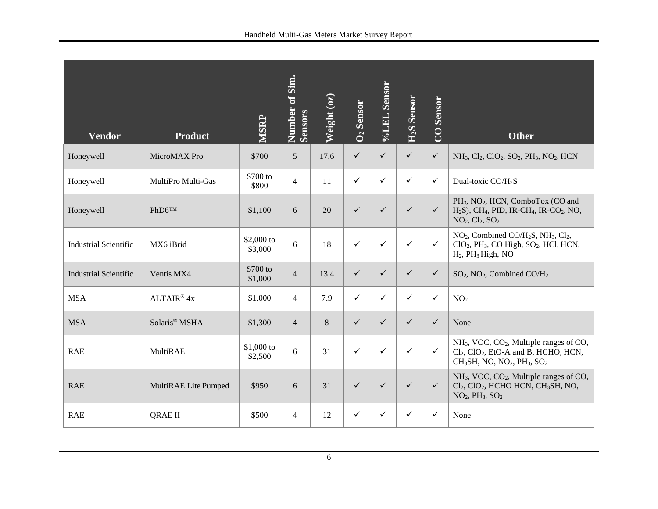| <b>Vendor</b>                | <b>Product</b>       | <b>MSRP</b>            | Number of Sim.<br><b>Sensors</b> | Weight $(oz)$ | <b>O<sub>2</sub></b> Sensor | %LEL Sensor  | <b>H<sub>2</sub>S</b> Sensor | <b>CO</b> Sensor | <b>Other</b>                                                                                                                                                                                                  |
|------------------------------|----------------------|------------------------|----------------------------------|---------------|-----------------------------|--------------|------------------------------|------------------|---------------------------------------------------------------------------------------------------------------------------------------------------------------------------------------------------------------|
| Honeywell                    | MicroMAX Pro         | \$700                  | $5\overline{)}$                  | 17.6          | $\checkmark$                | ✓            | $\checkmark$                 | $\checkmark$     | $NH_3$ , $Cl_2$ , $ClO_2$ , $SO_2$ , $PH_3$ , $NO_2$ , $HCN$                                                                                                                                                  |
| Honeywell                    | MultiPro Multi-Gas   | \$700 to<br>\$800      | $\overline{4}$                   | 11            | $\checkmark$                | ✓            | $\checkmark$                 | $\checkmark$     | Dual-toxic CO/H <sub>2</sub> S                                                                                                                                                                                |
| Honeywell                    | PhD6TM               | \$1,100                | 6                                | 20            | $\checkmark$                | $\checkmark$ | $\checkmark$                 | $\checkmark$     | PH <sub>3</sub> , NO <sub>2</sub> , HCN, ComboTox (CO and<br>$H2S$ ), CH <sub>4</sub> , PID, IR-CH <sub>4</sub> , IR-CO <sub>2</sub> , NO,<br>$NO2, Cl2, SO2$                                                 |
| <b>Industrial Scientific</b> | MX6 iBrid            | \$2,000 to<br>\$3,000  | 6                                | 18            | $\checkmark$                | ✓            | $\checkmark$                 | $\checkmark$     | NO <sub>2</sub> , Combined CO/H <sub>2</sub> S, NH <sub>3</sub> , Cl <sub>2</sub> ,<br>ClO <sub>2</sub> , PH <sub>3</sub> , CO High, SO <sub>2</sub> , HCl, HCN,<br>H <sub>2</sub> , PH <sub>3</sub> High, NO |
| <b>Industrial Scientific</b> | Ventis MX4           | \$700 to<br>\$1,000    | $\overline{4}$                   | 13.4          | $\checkmark$                | $\checkmark$ | $\checkmark$                 | $\checkmark$     | SO <sub>2</sub> , NO <sub>2</sub> , Combined CO/H <sub>2</sub>                                                                                                                                                |
| <b>MSA</b>                   | $ALTAIR^@$ 4x        | \$1,000                | $\overline{4}$                   | 7.9           | $\checkmark$                | ✓            | $\checkmark$                 | $\checkmark$     | NO <sub>2</sub>                                                                                                                                                                                               |
| <b>MSA</b>                   | Solaris® MSHA        | \$1,300                | $\overline{4}$                   | 8             | $\checkmark$                | ✓            | $\checkmark$                 | $\checkmark$     | None                                                                                                                                                                                                          |
| <b>RAE</b>                   | MultiRAE             | $$1,000$ to<br>\$2,500 | 6                                | 31            | $\checkmark$                | $\checkmark$ | $\checkmark$                 | $\checkmark$     | NH <sub>3</sub> , VOC, CO <sub>2</sub> , Multiple ranges of CO,<br>$Cl2$ , $ClO2$ , EtO-A and B, HCHO, HCN,<br>$CH3SH$ , NO, NO <sub>2</sub> , PH <sub>3</sub> , SO <sub>2</sub>                              |
| <b>RAE</b>                   | MultiRAE Lite Pumped | \$950                  | 6                                | 31            | $\checkmark$                | ✓            | $\checkmark$                 | $\checkmark$     | NH <sub>3</sub> , VOC, CO <sub>2</sub> , Multiple ranges of CO,<br>Cl <sub>2</sub> , ClO <sub>2</sub> , HCHO HCN, CH <sub>3</sub> SH, NO,<br>$NO2, PH3, SO2$                                                  |
| <b>RAE</b>                   | <b>QRAE II</b>       | \$500                  | $\overline{4}$                   | 12            | $\checkmark$                | ✓            | $\checkmark$                 | $\checkmark$     | None                                                                                                                                                                                                          |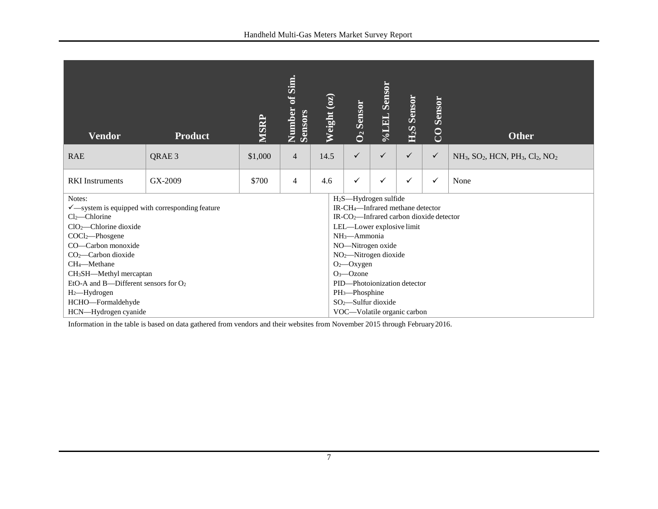| <b>Vendor</b>                                                                                                                                                                                                                                                                                                            | <b>Product</b> | MSRP    | of Sim.<br>Number<br>Sensors | Weight (oz) | O <sub>2</sub> Sensor                                                                                                                                                                                                                                                                                                                                 | <b>Sensor</b><br>Vol.EL | <b>Sensor</b><br>H <sub>2</sub> S | <b>Sensor</b><br>$\overline{C}$ | <b>Other</b>                                                                        |
|--------------------------------------------------------------------------------------------------------------------------------------------------------------------------------------------------------------------------------------------------------------------------------------------------------------------------|----------------|---------|------------------------------|-------------|-------------------------------------------------------------------------------------------------------------------------------------------------------------------------------------------------------------------------------------------------------------------------------------------------------------------------------------------------------|-------------------------|-----------------------------------|---------------------------------|-------------------------------------------------------------------------------------|
| <b>RAE</b>                                                                                                                                                                                                                                                                                                               | QRAE 3         | \$1,000 | $\overline{4}$               | 14.5        | $\checkmark$                                                                                                                                                                                                                                                                                                                                          | ✓                       | $\checkmark$                      | $\checkmark$                    | $NH_3$ , SO <sub>2</sub> , HCN, PH <sub>3</sub> , Cl <sub>2</sub> , NO <sub>2</sub> |
| <b>RKI</b> Instruments                                                                                                                                                                                                                                                                                                   | GX-2009        | \$700   | $\overline{4}$               | 4.6         | ✓                                                                                                                                                                                                                                                                                                                                                     | ✓                       | ✓                                 | $\checkmark$                    | None                                                                                |
| Notes:<br>$\checkmark$ —system is equipped with corresponding feature<br>$Cl_2$ -Chlorine<br>$ClO2$ -Chlorine dioxide<br>COCl2-Phosgene<br>CO-Carbon monoxide<br>$CO2$ - Carbon dioxide<br>CH <sub>4</sub> -Methane<br>CH <sub>3</sub> SH-Methyl mercaptan<br>EtO-A and B—Different sensors for $O_2$<br>$H_2$ —Hydrogen |                |         |                              |             | H <sub>2</sub> S-Hydrogen sulfide<br>IR-CH <sub>4</sub> —Infrared methane detector<br>IR-CO <sub>2</sub> —Infrared carbon dioxide detector<br>LEL-Lower explosive limit<br>NH <sub>3</sub> -Ammonia<br>NO-Nitrogen oxide<br>$NO2$ -Nitrogen dioxide<br>$O2$ -Oxygen<br>$O_3$ — $O$ zone<br>PID-Photoionization detector<br>PH <sub>3</sub> -Phosphine |                         |                                   |                                 |                                                                                     |
| HCHO-Formaldehyde<br>HCN-Hydrogen cyanide                                                                                                                                                                                                                                                                                |                |         |                              |             | $SO2$ -Sulfur dioxide<br>VOC—Volatile organic carbon                                                                                                                                                                                                                                                                                                  |                         |                                   |                                 |                                                                                     |

Information in the table is based on data gathered from vendors and their websites from November 2015 through February2016.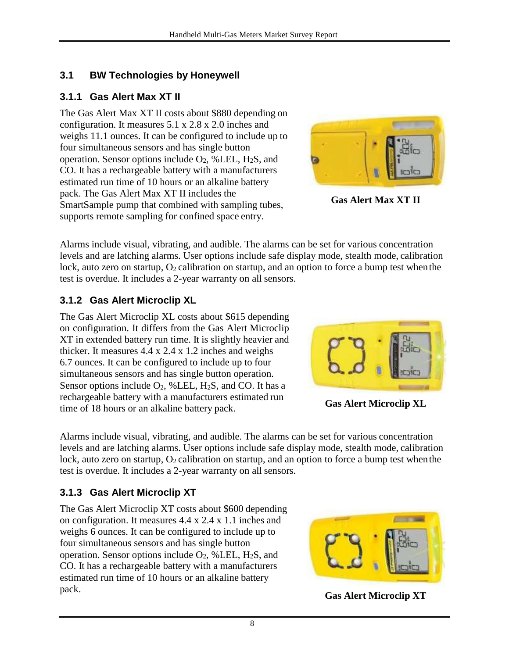## <span id="page-13-0"></span>**3.1 BW Technologies by Honeywell**

#### <span id="page-13-1"></span>**3.1.1 Gas Alert Max XT II**

The Gas Alert Max XT II costs about \$880 depending on configuration. It measures 5.1 x 2.8 x 2.0 inches and weighs 11.1 ounces. It can be configured to include up to four simultaneous sensors and has single button operation. Sensor options include  $O_2$ , %LEL, H<sub>2</sub>S, and CO. It has a rechargeable battery with a manufacturers estimated run time of 10 hours or an alkaline battery pack. The Gas Alert Max XT II includes the SmartSample pump that combined with sampling tubes, supports remote sampling for confined space entry.



**Gas Alert Max XT II**

Alarms include visual, vibrating, and audible. The alarms can be set for various concentration levels and are latching alarms. User options include safe display mode, stealth mode, calibration lock, auto zero on startup,  $O_2$  calibration on startup, and an option to force a bump test when the test is overdue. It includes a 2-year warranty on all sensors.

# <span id="page-13-2"></span>**3.1.2 Gas Alert Microclip XL**

The Gas Alert Microclip XL costs about \$615 depending on configuration. It differs from the Gas Alert Microclip XT in extended battery run time. It is slightly heavier and thicker. It measures 4.4 x 2.4 x 1.2 inches and weighs 6.7 ounces. It can be configured to include up to four simultaneous sensors and has single button operation. Sensor options include  $O_2$ , %LEL, H<sub>2</sub>S, and CO. It has a rechargeable battery with a manufacturers estimated run time of 18 hours or an alkaline battery pack. **Gas Alert Microclip XL**



Alarms include visual, vibrating, and audible. The alarms can be set for various concentration levels and are latching alarms. User options include safe display mode, stealth mode, calibration lock, auto zero on startup,  $O_2$  calibration on startup, and an option to force a bump test when the test is overdue. It includes a 2-year warranty on all sensors.

# <span id="page-13-3"></span>**3.1.3 Gas Alert Microclip XT**

The Gas Alert Microclip XT costs about \$600 depending on configuration. It measures 4.4 x 2.4 x 1.1 inches and weighs 6 ounces. It can be configured to include up to four simultaneous sensors and has single button operation. Sensor options include  $O_2$ , %LEL, H<sub>2</sub>S, and CO. It has a rechargeable battery with a manufacturers estimated run time of 10 hours or an alkaline battery pack. **Gas Alert Microclip XT**

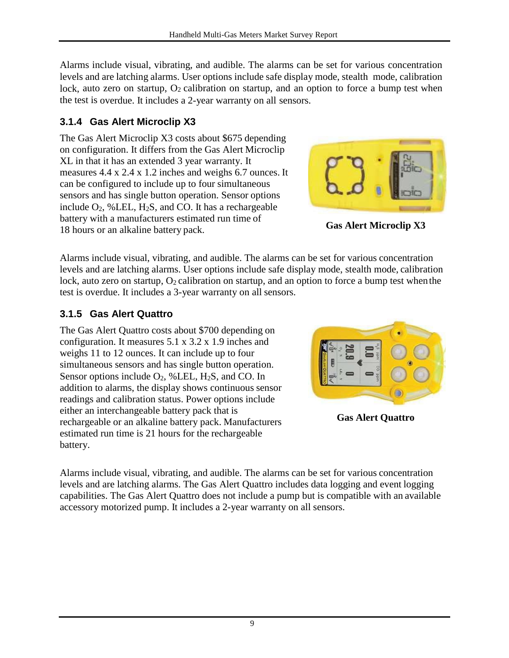Alarms include visual, vibrating, and audible. The alarms can be set for various concentration levels and are latching alarms. User options include safe display mode, stealth mode, calibration lock, auto zero on startup,  $O_2$  calibration on startup, and an option to force a bump test when the test is overdue. It includes a 2-year warranty on all sensors.

# <span id="page-14-0"></span>**3.1.4 Gas Alert Microclip X3**

The Gas Alert Microclip X3 costs about \$675 depending on configuration. It differs from the Gas Alert Microclip XL in that it has an extended 3 year warranty. It measures 4.4 x 2.4 x 1.2 inches and weighs 6.7 ounces. It can be configured to include up to four simultaneous sensors and has single button operation. Sensor options include  $O_2$ , %LEL, H<sub>2</sub>S, and CO. It has a rechargeable battery with a manufacturers estimated run time of 18 hours or an alkaline battery pack. **Gas Alert Microclip X3**



Alarms include visual, vibrating, and audible. The alarms can be set for various concentration levels and are latching alarms. User options include safe display mode, stealth mode, calibration lock, auto zero on startup,  $O_2$  calibration on startup, and an option to force a bump test when the test is overdue. It includes a 3-year warranty on all sensors.

# <span id="page-14-1"></span>**3.1.5 Gas Alert Quattro**

The Gas Alert Quattro costs about \$700 depending on configuration. It measures 5.1 x 3.2 x 1.9 inches and weighs 11 to 12 ounces. It can include up to four simultaneous sensors and has single button operation. Sensor options include  $O_2$ , %LEL,  $H_2S$ , and CO. In addition to alarms, the display shows continuous sensor readings and calibration status. Power options include either an interchangeable battery pack that is rechargeable or an alkaline battery pack. Manufacturers estimated run time is 21 hours for the rechargeable battery.



**Gas Alert Quattro**

Alarms include visual, vibrating, and audible. The alarms can be set for various concentration levels and are latching alarms. The Gas Alert Quattro includes data logging and event logging capabilities. The Gas Alert Quattro does not include a pump but is compatible with an available accessory motorized pump. It includes a 2-year warranty on all sensors.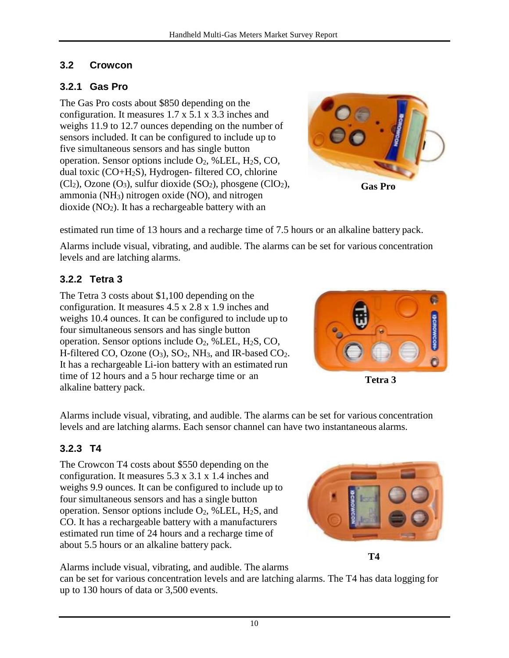#### <span id="page-15-0"></span>**3.2 Crowcon**

# <span id="page-15-1"></span>**3.2.1 Gas Pro**

The Gas Pro costs about \$850 depending on the configuration. It measures 1.7 x 5.1 x 3.3 inches and weighs 11.9 to 12.7 ounces depending on the number of sensors included. It can be configured to include up to five simultaneous sensors and has single button operation. Sensor options include  $O_2$ , %LEL, H<sub>2</sub>S, CO, dual toxic (CO+H2S), Hydrogen- filtered CO, chlorine  $(Cl<sub>2</sub>)$ , Ozone  $(O<sub>3</sub>)$ , sulfur dioxide  $(SO<sub>2</sub>)$ , phosgene  $(ClO<sub>2</sub>)$ , ammonia (NH3) nitrogen oxide (NO), and nitrogen dioxide  $(NO<sub>2</sub>)$ . It has a rechargeable battery with an



**Gas Pro**

estimated run time of 13 hours and a recharge time of 7.5 hours or an alkaline battery pack.

Alarms include visual, vibrating, and audible. The alarms can be set for various concentration levels and are latching alarms.

# <span id="page-15-2"></span>**3.2.2 Tetra 3**

The Tetra 3 costs about \$1,100 depending on the configuration. It measures 4.5 x 2.8 x 1.9 inches and weighs 10.4 ounces. It can be configured to include up to four simultaneous sensors and has single button operation. Sensor options include  $O_2$ , %LEL, H<sub>2</sub>S, CO, H-filtered CO, Ozone  $(O_3)$ ,  $SO_2$ , NH<sub>3</sub>, and IR-based CO<sub>2</sub>. It has a rechargeable Li-ion battery with an estimated run time of 12 hours and a 5 hour recharge time or an alkaline battery pack.



**Tetra 3** 

Alarms include visual, vibrating, and audible. The alarms can be set for various concentration levels and are latching alarms. Each sensor channel can have two instantaneous alarms.

# <span id="page-15-3"></span>**3.2.3 T4**

The Crowcon T4 costs about \$550 depending on the configuration. It measures 5.3 x 3.1 x 1.4 inches and weighs 9.9 ounces. It can be configured to include up to four simultaneous sensors and has a single button operation. Sensor options include  $O_2$ , %LEL, H<sub>2</sub>S, and CO. It has a rechargeable battery with a manufacturers estimated run time of 24 hours and a recharge time of about 5.5 hours or an alkaline battery pack.



**T4**

Alarms include visual, vibrating, and audible. The alarms

can be set for various concentration levels and are latching alarms. The T4 has data logging for up to 130 hours of data or 3,500 events.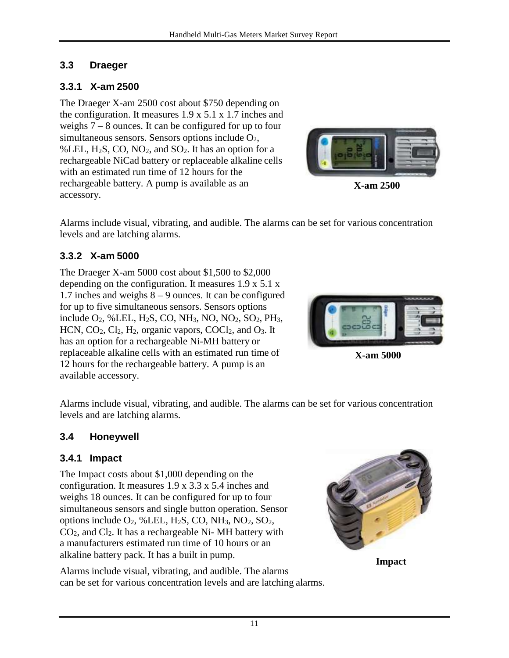#### <span id="page-16-0"></span>**3.3 Draeger**

#### <span id="page-16-1"></span>**3.3.1 X-am 2500**

The Draeger X-am 2500 cost about \$750 depending on the configuration. It measures 1.9 x 5.1 x 1.7 inches and weighs 7 – 8 ounces. It can be configured for up to four simultaneous sensors. Sensors options include  $O<sub>2</sub>$ , %LEL,  $H_2S$ , CO, NO<sub>2</sub>, and SO<sub>2</sub>. It has an option for a rechargeable NiCad battery or replaceable alkaline cells with an estimated run time of 12 hours for the rechargeable battery. A pump is available as an accessory.



**X-am 2500**

Alarms include visual, vibrating, and audible. The alarms can be set for various concentration levels and are latching alarms.

#### <span id="page-16-2"></span>**3.3.2 X-am 5000**

The Draeger X-am 5000 cost about \$1,500 to \$2,000 depending on the configuration. It measures 1.9 x 5.1 x 1.7 inches and weighs 8 – 9 ounces. It can be configured for up to five simultaneous sensors. Sensors options include  $O_2$ , %LEL, H<sub>2</sub>S, CO, NH<sub>3</sub>, NO, NO<sub>2</sub>, SO<sub>2</sub>, PH<sub>3</sub>, HCN,  $CO_2$ ,  $Cl_2$ ,  $H_2$ , organic vapors,  $COCl_2$ , and  $O_3$ . It has an option for a rechargeable Ni-MH battery or replaceable alkaline cells with an estimated run time of 12 hours for the rechargeable battery. A pump is an available accessory.

**X-am 5000**

Alarms include visual, vibrating, and audible. The alarms can be set for various concentration levels and are latching alarms.

#### <span id="page-16-3"></span>**3.4 Honeywell**

#### <span id="page-16-4"></span>**3.4.1 Impact**

The Impact costs about \$1,000 depending on the configuration. It measures 1.9 x 3.3 x 5.4 inches and weighs 18 ounces. It can be configured for up to four simultaneous sensors and single button operation. Sensor options include  $O_2$ , %LEL, H<sub>2</sub>S, CO, NH<sub>3</sub>, NO<sub>2</sub>, SO<sub>2</sub>,  $CO<sub>2</sub>$ , and  $Cl<sub>2</sub>$ . It has a rechargeable Ni- MH battery with a manufacturers estimated run time of 10 hours or an alkaline battery pack. It has a built in pump.

Alarms include visual, vibrating, and audible. The alarms can be set for various concentration levels and are latching alarms.



**Impact**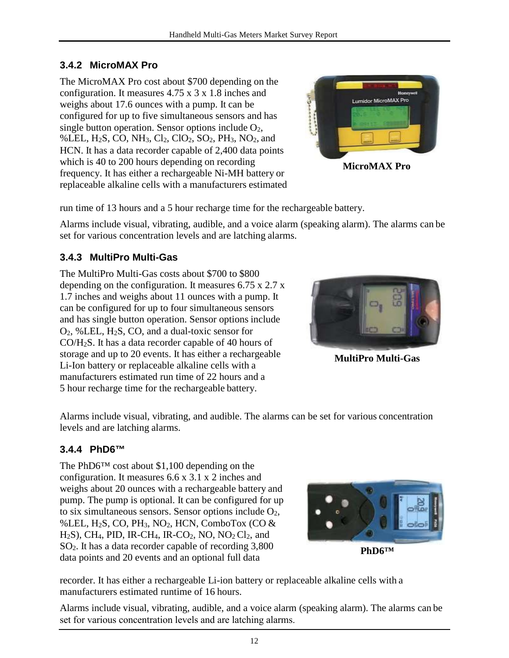#### <span id="page-17-0"></span>**3.4.2 MicroMAX Pro**

The MicroMAX Pro cost about \$700 depending on the configuration. It measures 4.75 x 3 x 1.8 inches and weighs about 17.6 ounces with a pump. It can be configured for up to five simultaneous sensors and has single button operation. Sensor options include  $O_2$ , %LEL,  $H_2S$ , CO, NH<sub>3</sub>, Cl<sub>2</sub>, Cl<sub>2</sub>, SO<sub>2</sub>, PH<sub>3</sub>, NO<sub>2</sub>, and HCN. It has a data recorder capable of 2,400 data points which is 40 to 200 hours depending on recording frequency. It has either a rechargeable Ni-MH battery or replaceable alkaline cells with a manufacturers estimated



**MicroMAX Pro**

run time of 13 hours and a 5 hour recharge time for the rechargeable battery.

Alarms include visual, vibrating, audible, and a voice alarm (speaking alarm). The alarms can be set for various concentration levels and are latching alarms.

#### <span id="page-17-1"></span>**3.4.3 MultiPro Multi-Gas**

The MultiPro Multi-Gas costs about \$700 to \$800 depending on the configuration. It measures 6.75 x 2.7 x 1.7 inches and weighs about 11 ounces with a pump. It can be configured for up to four simultaneous sensors and has single button operation. Sensor options include O2, %LEL, H2S, CO, and a dual-toxic sensor for CO/H2S. It has a data recorder capable of 40 hours of storage and up to 20 events. It has either a rechargeable Li-Ion battery or replaceable alkaline cells with a manufacturers estimated run time of 22 hours and a 5 hour recharge time for the rechargeable battery.



**MultiPro Multi-Gas**

Alarms include visual, vibrating, and audible. The alarms can be set for various concentration levels and are latching alarms.

#### <span id="page-17-2"></span>**3.4.4 PhD6™**

The PhD6™ cost about \$1,100 depending on the configuration. It measures 6.6 x 3.1 x 2 inches and weighs about 20 ounces with a rechargeable battery and pump. The pump is optional. It can be configured for up to six simultaneous sensors. Sensor options include  $O_2$ , %LEL,  $H_2S$ , CO, PH<sub>3</sub>, NO<sub>2</sub>, HCN, ComboTox (CO  $\&$  $H<sub>2</sub>S$ ), CH<sub>4</sub>, PID, IR-CH<sub>4</sub>, IR-CO<sub>2</sub>, NO, NO<sub>2</sub> Cl<sub>2</sub>, and SO2. It has a data recorder capable of recording 3,800 data points and 20 events and an optional full data **PhD6™** 



recorder. It has either a rechargeable Li-ion battery or replaceable alkaline cells with a manufacturers estimated runtime of 16 hours.

Alarms include visual, vibrating, audible, and a voice alarm (speaking alarm). The alarms can be set for various concentration levels and are latching alarms.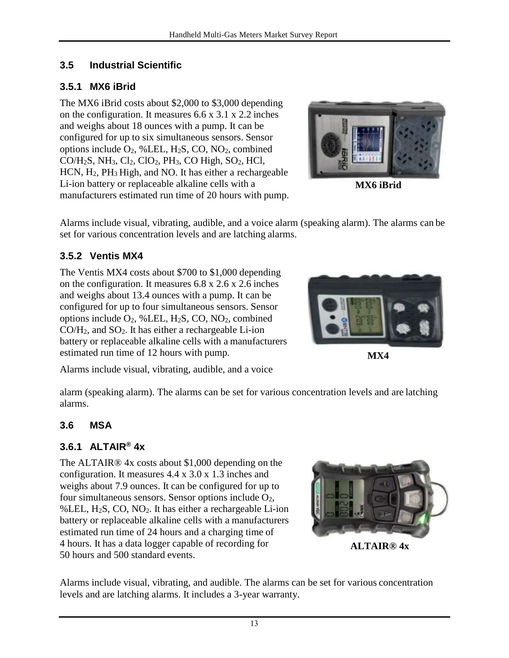## <span id="page-18-0"></span>**3.5 Industrial Scientific**

## <span id="page-18-1"></span>**3.5.1 MX6 iBrid**

The MX6 iBrid costs about \$2,000 to \$3,000 depending on the configuration. It measures 6.6 x 3.1 x 2.2 inches and weighs about 18 ounces with a pump. It can be configured for up to six simultaneous sensors. Sensor options include  $O_2$ , %LEL, H<sub>2</sub>S, CO, NO<sub>2</sub>, combined  $CO/H_2S$ , NH<sub>3</sub>,  $Cl_2$ ,  $ClO_2$ , PH<sub>3</sub>, CO High, SO<sub>2</sub>, HCl, HCN, H2, PH3 High, and NO. It has either a rechargeable Li-ion battery or replaceable alkaline cells with a manufacturers estimated run time of 20 hours with pump.



**MX6 iBrid**

Alarms include visual, vibrating, audible, and a voice alarm (speaking alarm). The alarms can be set for various concentration levels and are latching alarms.

#### <span id="page-18-2"></span>**3.5.2 Ventis MX4**

The Ventis MX4 costs about \$700 to \$1,000 depending on the configuration. It measures 6.8 x 2.6 x 2.6 inches and weighs about 13.4 ounces with a pump. It can be configured for up to four simultaneous sensors. Sensor options include  $O_2$ , %LEL, H<sub>2</sub>S, CO, NO<sub>2</sub>, combined  $CO/H<sub>2</sub>$ , and  $SO<sub>2</sub>$ . It has either a rechargeable Li-ion battery or replaceable alkaline cells with a manufacturers estimated run time of 12 hours with pump.



**MX4**

Alarms include visual, vibrating, audible, and a voice

alarm (speaking alarm). The alarms can be set for various concentration levels and are latching alarms.

# <span id="page-18-3"></span>**3.6 MSA**

#### <span id="page-18-4"></span>**3.6.1 ALTAIR® 4x**

The ALTAIR® 4x costs about \$1,000 depending on the configuration. It measures 4.4 x 3.0 x 1.3 inches and weighs about 7.9 ounces. It can be configured for up to four simultaneous sensors. Sensor options include  $O_2$ , %LEL,  $H_2S$ , CO, NO<sub>2</sub>. It has either a rechargeable Li-ion battery or replaceable alkaline cells with a manufacturers estimated run time of 24 hours and a charging time of 4 hours. It has a data logger capable of recording for 50 hours and 500 standard events. **ALTAIR® 4x** 



Alarms include visual, vibrating, and audible. The alarms can be set for various concentration levels and are latching alarms. It includes a 3-year warranty.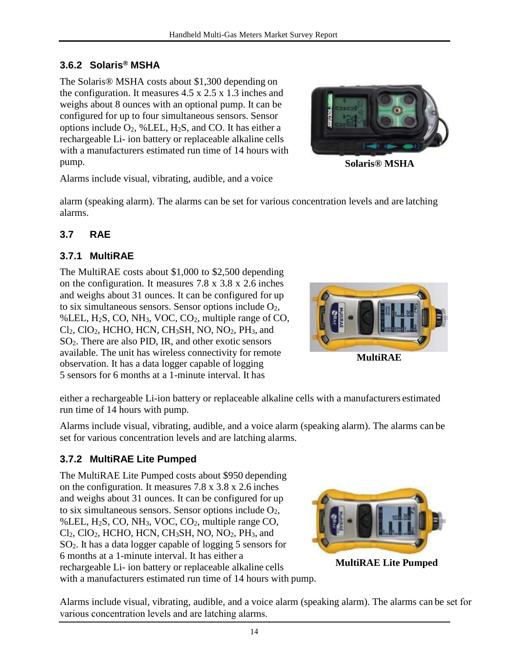# <span id="page-19-0"></span>**3.6.2 Solaris® MSHA**

The Solaris® MSHA costs about \$1,300 depending on the configuration. It measures 4.5 x 2.5 x 1.3 inches and weighs about 8 ounces with an optional pump. It can be configured for up to four simultaneous sensors. Sensor options include  $O_2$ , %LEL, H<sub>2</sub>S, and CO. It has either a rechargeable Li- ion battery or replaceable alkaline cells with a manufacturers estimated run time of 14 hours with pump.



**Solaris® MSHA**

Alarms include visual, vibrating, audible, and a voice

alarm (speaking alarm). The alarms can be set for various concentration levels and are latching alarms.

#### <span id="page-19-1"></span>**3.7 RAE**

#### <span id="page-19-2"></span>**3.7.1 MultiRAE**

The MultiRAE costs about \$1,000 to \$2,500 depending on the configuration. It measures 7.8 x 3.8 x 2.6 inches and weighs about 31 ounces. It can be configured for up to six simultaneous sensors. Sensor options include  $O<sub>2</sub>$ , %LEL, H<sub>2</sub>S, CO, NH<sub>3</sub>, VOC, CO<sub>2</sub>, multiple range of CO,  $Cl<sub>2</sub>$ ,  $Cl<sub>2</sub>$ , HCHO, HCN, CH<sub>3</sub>SH, NO, NO<sub>2</sub>, PH<sub>3</sub>, and SO2. There are also PID, IR, and other exotic sensors available. The unit has wireless connectivity for remote observation. It has a data logger capable of logging 5 sensors for 6 months at a 1-minute interval. It has



either a rechargeable Li-ion battery or replaceable alkaline cells with a manufacturers estimated run time of 14 hours with pump.

Alarms include visual, vibrating, audible, and a voice alarm (speaking alarm). The alarms can be set for various concentration levels and are latching alarms.

#### <span id="page-19-3"></span>**3.7.2 MultiRAE Lite Pumped**

The MultiRAE Lite Pumped costs about \$950 depending on the configuration. It measures 7.8 x 3.8 x 2.6 inches and weighs about 31 ounces. It can be configured for up to six simultaneous sensors. Sensor options include  $O_2$ , %LEL, H2S, CO, NH3, VOC, CO2, multiple range CO, Cl<sub>2</sub>, ClO<sub>2</sub>, HCHO, HCN, CH<sub>3</sub>SH, NO, NO<sub>2</sub>, PH<sub>3</sub>, and SO2. It has a data logger capable of logging 5 sensors for 6 months at a 1-minute interval. It has either a rechargeable Li- ion battery or replaceable alkaline cells with a manufacturers estimated run time of 14 hours with pump.



**MultiRAE Lite Pumped**

Alarms include visual, vibrating, audible, and a voice alarm (speaking alarm). The alarms can be set for various concentration levels and are latching alarms.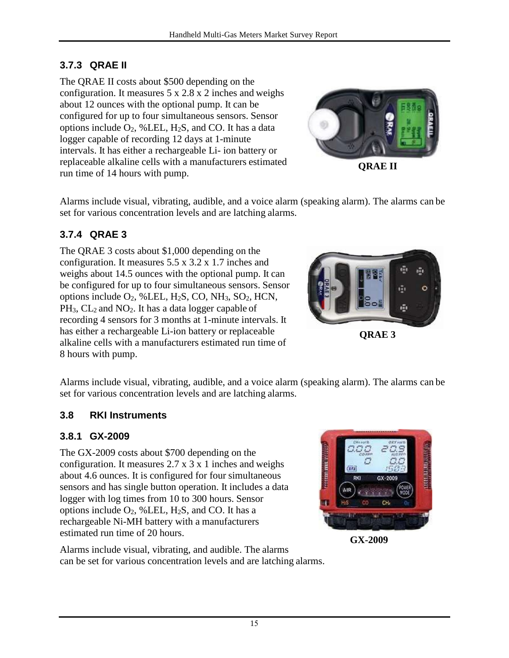# <span id="page-20-0"></span>**3.7.3 QRAE II**

The QRAE II costs about \$500 depending on the configuration. It measures 5 x 2.8 x 2 inches and weighs about 12 ounces with the optional pump. It can be configured for up to four simultaneous sensors. Sensor options include  $O_2$ , %LEL, H<sub>2</sub>S, and CO. It has a data logger capable of recording 12 days at 1-minute intervals. It has either a rechargeable Li- ion battery or replaceable alkaline cells with a manufacturers estimated replaceable alkaline cells with a manufacturers estimated<br> **QRAE II**<br> **QRAE II** 



Alarms include visual, vibrating, audible, and a voice alarm (speaking alarm). The alarms can be set for various concentration levels and are latching alarms.

# <span id="page-20-1"></span>**3.7.4 QRAE 3**

The QRAE 3 costs about \$1,000 depending on the configuration. It measures 5.5 x 3.2 x 1.7 inches and weighs about 14.5 ounces with the optional pump. It can be configured for up to four simultaneous sensors. Sensor options include  $O_2$ , %LEL, H<sub>2</sub>S, CO, NH<sub>3</sub>, SO<sub>2</sub>, HCN,  $PH_3$ ,  $CL_2$  and  $NO_2$ . It has a data logger capable of recording 4 sensors for 3 months at 1-minute intervals. It has either a rechargeable Li-ion battery or replaceable alkaline cells with a manufacturers estimated run time of 8 hours with pump.



**QRAE 3**

Alarms include visual, vibrating, audible, and a voice alarm (speaking alarm). The alarms can be set for various concentration levels and are latching alarms.

#### <span id="page-20-2"></span>**3.8 RKI Instruments**

#### <span id="page-20-3"></span>**3.8.1 GX-2009**

The GX-2009 costs about \$700 depending on the configuration. It measures 2.7 x 3 x 1 inches and weighs about 4.6 ounces. It is configured for four simultaneous sensors and has single button operation. It includes a data logger with log times from 10 to 300 hours. Sensor options include  $O_2$ , %LEL,  $H_2S$ , and CO. It has a rechargeable Ni-MH battery with a manufacturers estimated run time of 20 hours.



**GX-2009** 

Alarms include visual, vibrating, and audible. The alarms can be set for various concentration levels and are latching alarms.